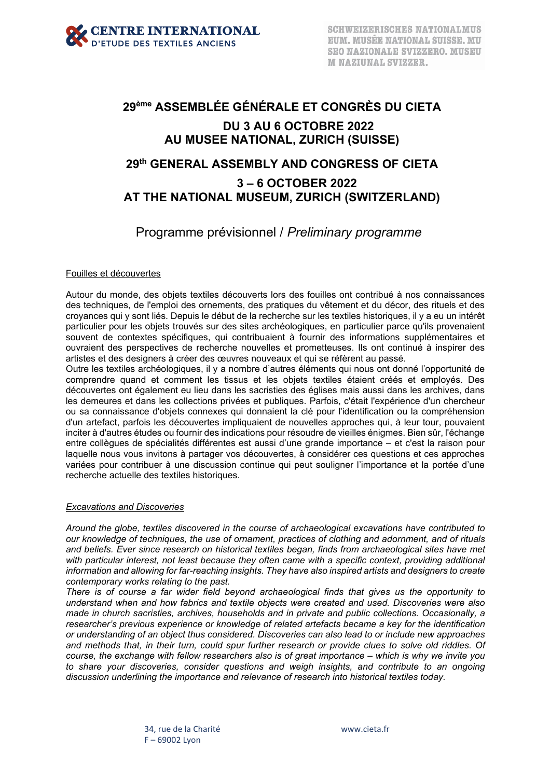

# **29ème ASSEMBLÉE GÉNÉRALE ET CONGRÈS DU CIETA DU 3 AU 6 OCTOBRE 2022 AU MUSEE NATIONAL, ZURICH (SUISSE)**

## **29th GENERAL ASSEMBLY AND CONGRESS OF CIETA**

## **3 – 6 OCTOBER 2022 AT THE NATIONAL MUSEUM, ZURICH (SWITZERLAND)**

Programme prévisionnel / *Preliminary programme*

#### Fouilles et découvertes

Autour du monde, des objets textiles découverts lors des fouilles ont contribué à nos connaissances des techniques, de l'emploi des ornements, des pratiques du vêtement et du décor, des rituels et des croyances qui y sont liés. Depuis le début de la recherche sur les textiles historiques, il y a eu un intérêt particulier pour les objets trouvés sur des sites archéologiques, en particulier parce qu'ils provenaient souvent de contextes spécifiques, qui contribuaient à fournir des informations supplémentaires et ouvraient des perspectives de recherche nouvelles et prometteuses. Ils ont continué à inspirer des artistes et des designers à créer des œuvres nouveaux et qui se réfèrent au passé.

Outre les textiles archéologiques, il y a nombre d'autres éléments qui nous ont donné l'opportunité de comprendre quand et comment les tissus et les objets textiles étaient créés et employés. Des découvertes ont également eu lieu dans les sacristies des églises mais aussi dans les archives, dans les demeures et dans les collections privées et publiques. Parfois, c'était l'expérience d'un chercheur ou sa connaissance d'objets connexes qui donnaient la clé pour l'identification ou la compréhension d'un artefact, parfois les découvertes impliquaient de nouvelles approches qui, à leur tour, pouvaient inciter à d'autres études ou fournir des indications pour résoudre de vieilles énigmes. Bien sûr, l'échange entre collègues de spécialités différentes est aussi d'une grande importance – et c'est la raison pour laquelle nous vous invitons à partager vos découvertes, à considérer ces questions et ces approches variées pour contribuer à une discussion continue qui peut souligner l'importance et la portée d'une recherche actuelle des textiles historiques.

#### *Excavations and Discoveries*

*Around the globe, textiles discovered in the course of archaeological excavations have contributed to our knowledge of techniques, the use of ornament, practices of clothing and adornment, and of rituals and beliefs. Ever since research on historical textiles began, finds from archaeological sites have met with particular interest, not least because they often came with a specific context, providing additional information and allowing for far-reaching insights. They have also inspired artists and designers to create contemporary works relating to the past.*

*There is of course a far wider field beyond archaeological finds that gives us the opportunity to understand when and how fabrics and textile objects were created and used. Discoveries were also made in church sacristies, archives, households and in private and public collections. Occasionally, a researcher's previous experience or knowledge of related artefacts became a key for the identification or understanding of an object thus considered. Discoveries can also lead to or include new approaches and methods that, in their turn, could spur further research or provide clues to solve old riddles. Of course, the exchange with fellow researchers also is of great importance – which is why we invite you to share your discoveries, consider questions and weigh insights, and contribute to an ongoing discussion underlining the importance and relevance of research into historical textiles today.*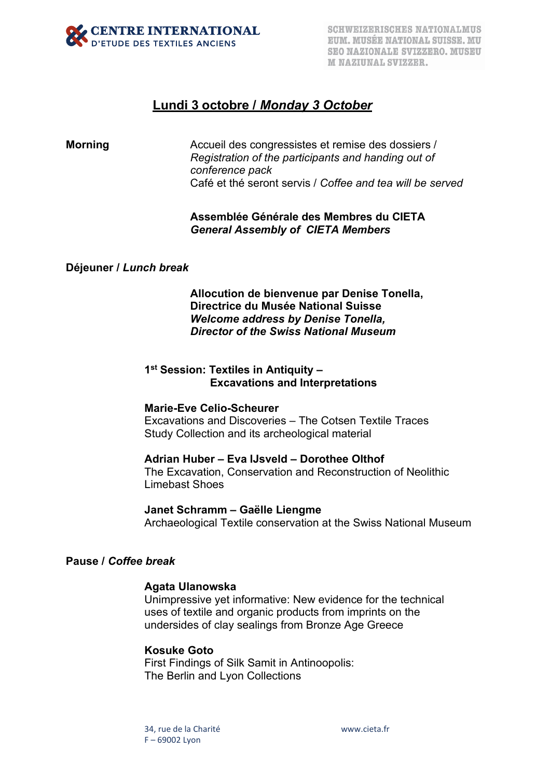

# **Lundi 3 octobre /** *Monday 3 October*

**Morning Accueil des congressistes et remise des dossiers** / *Registration of the participants and handing out of conference pack* Café et thé seront servis / *Coffee and tea will be served* 

## **Assemblée Générale des Membres du CIETA** *General Assembly of CIETA Members*

### **Déjeuner /** *Lunch break*

**Allocution de bienvenue par Denise Tonella, Directrice du Musée National Suisse** *Welcome address by Denise Tonella, Director of the Swiss National Museum* 

## **1st Session: Textiles in Antiquity – Excavations and Interpretations**

#### **Marie-Eve Celio-Scheurer**

Excavations and Discoveries – The Cotsen Textile Traces Study Collection and its archeological material

#### **Adrian Huber – Eva IJsveld – Dorothee Olthof**

The Excavation, Conservation and Reconstruction of Neolithic Limebast Shoes

**Janet Schramm – Gaëlle Liengme** Archaeological Textile conservation at the Swiss National Museum

## **Pause /** *Coffee break*

#### **Agata Ulanowska**

Unimpressive yet informative: New evidence for the technical uses of textile and organic products from imprints on the undersides of clay sealings from Bronze Age Greece

#### **Kosuke Goto**

First Findings of Silk Samit in Antinoopolis: The Berlin and Lyon Collections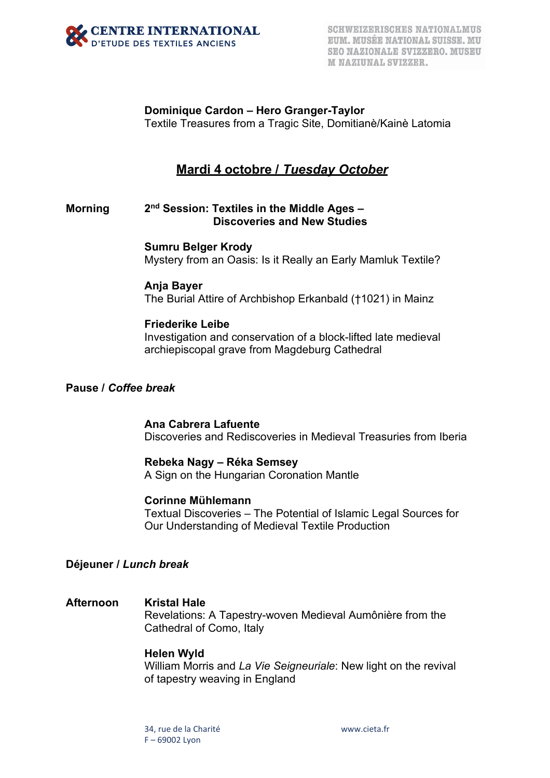

**Dominique Cardon – Hero Granger-Taylor** Textile Treasures from a Tragic Site, Domitianè/Kainè Latomia

# **Mardi 4 octobre /** *Tuesday October*

## **Morning 2nd Session: Textiles in the Middle Ages – Discoveries and New Studies**

**Sumru Belger Krody**

Mystery from an Oasis: Is it Really an Early Mamluk Textile?

## **Anja Bayer**

The Burial Attire of Archbishop Erkanbald (†1021) in Mainz

### **Friederike Leibe**

Investigation and conservation of a block-lifted late medieval archiepiscopal grave from Magdeburg Cathedral

#### **Pause /** *Coffee break*

**Ana Cabrera Lafuente** Discoveries and Rediscoveries in Medieval Treasuries from Iberia

## **Rebeka Nagy – Réka Semsey**

A Sign on the Hungarian Coronation Mantle

## **Corinne Mühlemann**

Textual Discoveries – The Potential of Islamic Legal Sources for Our Understanding of Medieval Textile Production

## **Déjeuner /** *Lunch break*

## **Afternoon Kristal Hale**

Revelations: A Tapestry-woven Medieval Aumônière from the Cathedral of Como, Italy

#### **Helen Wyld**

William Morris and *La Vie Seigneuriale*: New light on the revival of tapestry weaving in England

34, rue de la Charité www.cieta.fr F – 69002 Lyon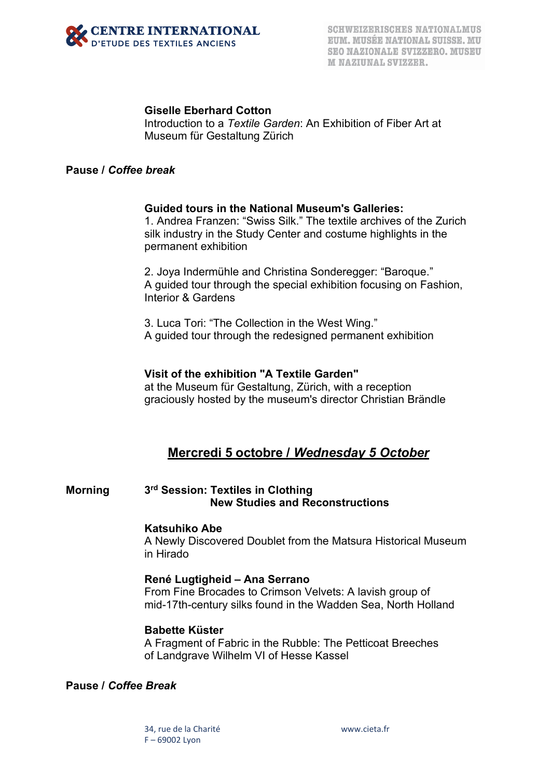

## **Giselle Eberhard Cotton**

Introduction to a *Textile Garden*: An Exhibition of Fiber Art at Museum für Gestaltung Zürich

## **Pause /** *Coffee break*

#### **Guided tours in the National Museum's Galleries:**

1. Andrea Franzen: "Swiss Silk." The textile archives of the Zurich silk industry in the Study Center and costume highlights in the permanent exhibition

2. Joya Indermühle and Christina Sonderegger: "Baroque." A guided tour through the special exhibition focusing on Fashion, Interior & Gardens

3. Luca Tori: "The Collection in the West Wing." A guided tour through the redesigned permanent exhibition

#### **Visit of the exhibition "A Textile Garden"**

at the Museum für Gestaltung, Zürich, with a reception graciously hosted by the museum's director Christian Brändle

## **Mercredi 5 octobre /** *Wednesday 5 October*

## **Morning 3rd Session: Textiles in Clothing New Studies and Reconstructions**

#### **Katsuhiko Abe**

A Newly Discovered Doublet from the Matsura Historical Museum in Hirado

#### **René Lugtigheid – Ana Serrano**

From Fine Brocades to Crimson Velvets: A lavish group of mid-17th-century silks found in the Wadden Sea, North Holland

#### **Babette Küster**

A Fragment of Fabric in the Rubble: The Petticoat Breeches of Landgrave Wilhelm VI of Hesse Kassel

## **Pause /** *Coffee Break*